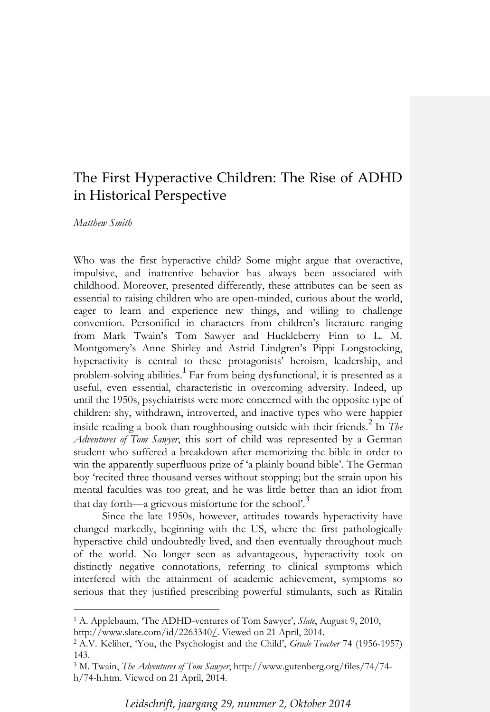# The First Hyperactive Children: The Rise of ADHD in Historical Perspective

# *Matthew Smith*

 $\overline{a}$ 

Who was the first hyperactive child? Some might argue that overactive, impulsive, and inattentive behavior has always been associated with childhood. Moreover, presented differently, these attributes can be seen as essential to raising children who are open-minded, curious about the world, eager to learn and experience new things, and willing to challenge convention. Personified in characters from children's literature ranging from Mark Twain's Tom Sawyer and Huckleberry Finn to L. M. Montgomery's Anne Shirley and Astrid Lindgren's Pippi Longstocking, hyperactivity is central to these protagonists' heroism, leadership, and problem-solving abilities.<sup>1</sup> Far from being dysfunctional, it is presented as a useful, even essential, characteristic in overcoming adversity. Indeed, up until the 1950s, psychiatrists were more concerned with the opposite type of children: shy, withdrawn, introverted, and inactive types who were happier inside reading a book than roughhousing outside with their friends.<sup>2</sup> In *The Adventures of Tom Sawyer*, this sort of child was represented by a German student who suffered a breakdown after memorizing the bible in order to win the apparently superfluous prize of 'a plainly bound bible'. The German boy 'recited three thousand verses without stopping; but the strain upon his mental faculties was too great, and he was little better than an idiot from that day forth—a grievous misfortune for the school'.<sup>3</sup>

Since the late 1950s, however, attitudes towards hyperactivity have changed markedly, beginning with the US, where the first pathologically hyperactive child undoubtedly lived, and then eventually throughout much of the world. No longer seen as advantageous, hyperactivity took on distinctly negative connotations, referring to clinical symptoms which interfered with the attainment of academic achievement, symptoms so serious that they justified prescribing powerful stimulants, such as Ritalin

*Leidschrift, jaargang 29, nummer 2, Oktober 2014*

<sup>1</sup> A. Applebaum, 'The ADHD-ventures of Tom Sawyer', *Slate*, August 9, 2010, http://www.slate.com/id/2263340/. Viewed on 21 April, 2014.

<sup>2</sup> A.V. Keliher, 'You, the Psychologist and the Child', *Grade Teacher* 74 (1956-1957) 143.

<sup>3</sup> M. Twain, *The Adventures of Tom Sawyer*, http://www.gutenberg.org/files/74/74 h/74-h.htm. Viewed on 21 April, 2014.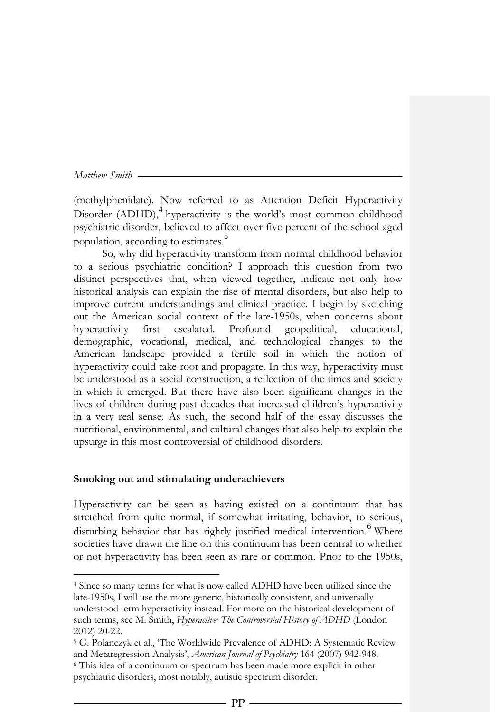$\overline{a}$ 

(methylphenidate). Now referred to as Attention Deficit Hyperactivity Disorder (ADHD),<sup>4</sup> hyperactivity is the world's most common childhood psychiatric disorder, believed to affect over five percent of the school-aged population, according to estimates.<sup>5</sup>

So, why did hyperactivity transform from normal childhood behavior to a serious psychiatric condition? I approach this question from two distinct perspectives that, when viewed together, indicate not only how historical analysis can explain the rise of mental disorders, but also help to improve current understandings and clinical practice. I begin by sketching out the American social context of the late-1950s, when concerns about hyperactivity first escalated. Profound geopolitical, educational, demographic, vocational, medical, and technological changes to the American landscape provided a fertile soil in which the notion of hyperactivity could take root and propagate. In this way, hyperactivity must be understood as a social construction, a reflection of the times and society in which it emerged. But there have also been significant changes in the lives of children during past decades that increased children's hyperactivity in a very real sense. As such, the second half of the essay discusses the nutritional, environmental, and cultural changes that also help to explain the upsurge in this most controversial of childhood disorders.

## **Smoking out and stimulating underachievers**

Hyperactivity can be seen as having existed on a continuum that has stretched from quite normal, if somewhat irritating, behavior, to serious, disturbing behavior that has rightly justified medical intervention.<sup>6</sup> Where societies have drawn the line on this continuum has been central to whether or not hyperactivity has been seen as rare or common. Prior to the 1950s,

<sup>4</sup> Since so many terms for what is now called ADHD have been utilized since the late-1950s, I will use the more generic, historically consistent, and universally understood term hyperactivity instead. For more on the historical development of such terms, see M. Smith, *Hyperactive: The Controversial History of ADHD* (London 2012) 20-22.

<sup>5</sup> G. Polanczyk et al., 'The Worldwide Prevalence of ADHD: A Systematic Review and Metaregression Analysis', *American Journal of Psychiatry* 164 (2007) 942-948. <sup>6</sup> This idea of a continuum or spectrum has been made more explicit in other psychiatric disorders, most notably, autistic spectrum disorder.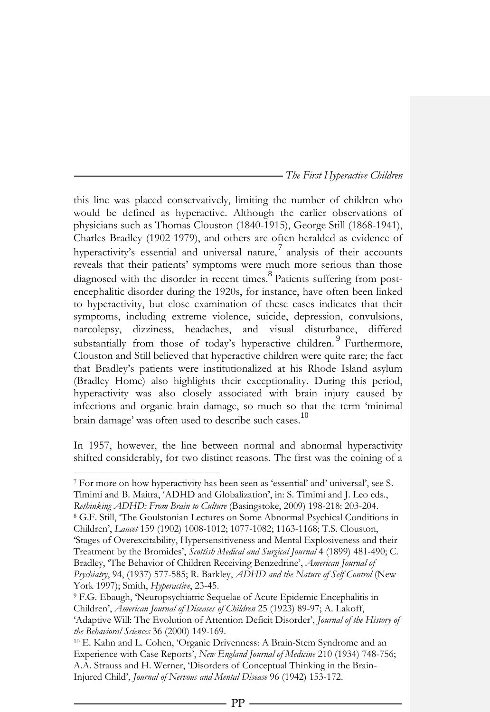this line was placed conservatively, limiting the number of children who would be defined as hyperactive. Although the earlier observations of physicians such as Thomas Clouston (1840-1915), George Still (1868-1941), Charles Bradley (1902-1979), and others are often heralded as evidence of hyperactivity's essential and universal nature,<sup>7</sup> analysis of their accounts reveals that their patients' symptoms were much more serious than those diagnosed with the disorder in recent times. 8 Patients suffering from postencephalitic disorder during the 1920s, for instance, have often been linked to hyperactivity, but close examination of these cases indicates that their symptoms, including extreme violence, suicide, depression, convulsions, narcolepsy, dizziness, headaches, and visual disturbance, differed substantially from those of today's hyperactive children.<sup>9</sup> Furthermore, Clouston and Still believed that hyperactive children were quite rare; the fact that Bradley's patients were institutionalized at his Rhode Island asylum (Bradley Home) also highlights their exceptionality. During this period, hyperactivity was also closely associated with brain injury caused by infections and organic brain damage, so much so that the term 'minimal brain damage' was often used to describe such cases.<sup>10</sup>

In 1957, however, the line between normal and abnormal hyperactivity shifted considerably, for two distinct reasons. The first was the coining of a

1

<sup>8</sup> G.F. Still, 'The Goulstonian Lectures on Some Abnormal Psychical Conditions in Children', *Lancet* 159 (1902) 1008-1012; 1077-1082; 1163-1168; T.S. Clouston,

'Stages of Overexcitability, Hypersensitiveness and Mental Explosiveness and their Treatment by the Bromides', *Scottish Medical and Surgical Journal* 4 (1899) 481-490; C. Bradley, 'The Behavior of Children Receiving Benzedrine', *American Journal of Psychiatry*, 94, (1937) 577-585; R. Barkley, *ADHD and the Nature of Self Control* (New York 1997); Smith, *Hyperactive*, 23-45.

 $^7$  For more on how hyperactivity has been seen as 'essential' and' universal', see S. Timimi and B. Maitra, 'ADHD and Globalization', in: S. Timimi and J. Leo eds., *Rethinking ADHD: From Brain to Culture* (Basingstoke, 2009) 198-218: 203-204.

<sup>9</sup> F.G. Ebaugh, 'Neuropsychiatric Sequelae of Acute Epidemic Encephalitis in Children', *American Journal of Diseases of Children* 25 (1923) 89-97; A. Lakoff, 'Adaptive Will: The Evolution of Attention Deficit Disorder', *Journal of the History of the Behavioral Sciences* 36 (2000) 149-169.

<sup>10</sup> E. Kahn and L. Cohen, 'Organic Drivenness: A Brain-Stem Syndrome and an Experience with Case Reports', *New England Journal of Medicine* 210 (1934) 748-756; A.A. Strauss and H. Werner, 'Disorders of Conceptual Thinking in the Brain-Injured Child', *Journal of Nervous and Mental Disease* 96 (1942) 153-172.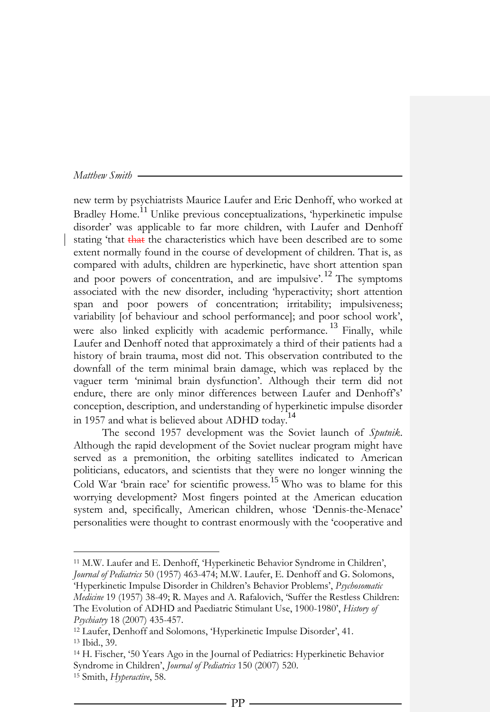$\overline{a}$ 

new term by psychiatrists Maurice Laufer and Eric Denhoff, who worked at Bradley Home.<sup>11</sup> Unlike previous conceptualizations, 'hyperkinetic impulse disorder' was applicable to far more children, with Laufer and Denhoff stating 'that that the characteristics which have been described are to some extent normally found in the course of development of children. That is, as compared with adults, children are hyperkinetic, have short attention span and poor powers of concentration, and are impulsive'.<sup>12</sup> The symptoms associated with the new disorder, including 'hyperactivity; short attention span and poor powers of concentration; irritability; impulsiveness; variability [of behaviour and school performance]; and poor school work', were also linked explicitly with academic performance.<sup>13</sup> Finally, while Laufer and Denhoff noted that approximately a third of their patients had a history of brain trauma, most did not. This observation contributed to the downfall of the term minimal brain damage, which was replaced by the vaguer term 'minimal brain dysfunction'. Although their term did not endure, there are only minor differences between Laufer and Denhoff's' conception, description, and understanding of hyperkinetic impulse disorder in 1957 and what is believed about ADHD today.<sup>14</sup>

The second 1957 development was the Soviet launch of *Sputnik*. Although the rapid development of the Soviet nuclear program might have served as a premonition, the orbiting satellites indicated to American politicians, educators, and scientists that they were no longer winning the Cold War 'brain race' for scientific prowess. <sup>15</sup> Who was to blame for this worrying development? Most fingers pointed at the American education system and, specifically, American children, whose 'Dennis-the-Menace' personalities were thought to contrast enormously with the 'cooperative and

<sup>11</sup> M.W. Laufer and E. Denhoff, 'Hyperkinetic Behavior Syndrome in Children', *Journal of Pediatrics* 50 (1957) 463-474; M.W. Laufer, E. Denhoff and G. Solomons,

<sup>&#</sup>x27;Hyperkinetic Impulse Disorder in Children's Behavior Problems', *Psychosomatic Medicine* 19 (1957) 38-49; R. Mayes and A. Rafalovich, 'Suffer the Restless Children:

The Evolution of ADHD and Paediatric Stimulant Use, 1900-1980', *History of Psychiatry* 18 (2007) 435-457.

<sup>12</sup> Laufer, Denhoff and Solomons, 'Hyperkinetic Impulse Disorder', 41. <sup>13</sup> Ibid., 39.

<sup>14</sup> H. Fischer, '50 Years Ago in the Journal of Pediatrics: Hyperkinetic Behavior Syndrome in Children', *Journal of Pediatrics* 150 (2007) 520. <sup>15</sup> Smith, *Hyperactive*, 58.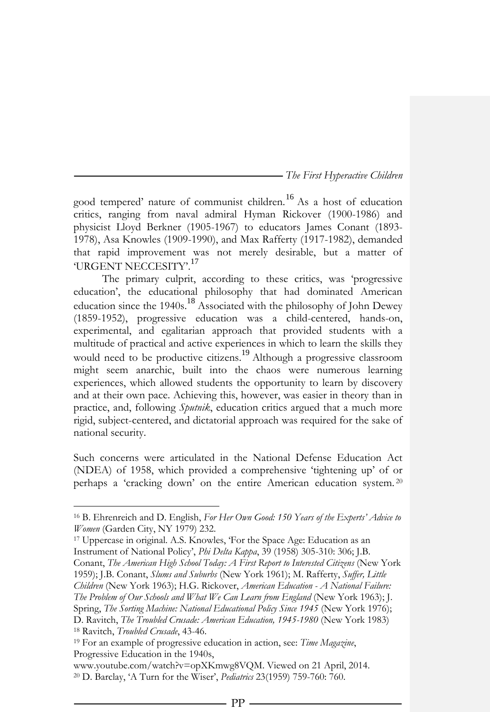good tempered' nature of communist children.<sup>16</sup> As a host of education critics, ranging from naval admiral Hyman Rickover (1900-1986) and physicist Lloyd Berkner (1905-1967) to educators James Conant (1893- 1978), Asa Knowles (1909-1990), and Max Rafferty (1917-1982), demanded that rapid improvement was not merely desirable, but a matter of 'URGENT NECCESITY'.<sup>17</sup>

The primary culprit, according to these critics, was 'progressive education', the educational philosophy that had dominated American education since the 1940s.<sup>18</sup> Associated with the philosophy of John Dewey (1859-1952), progressive education was a child-centered, hands-on, experimental, and egalitarian approach that provided students with a multitude of practical and active experiences in which to learn the skills they would need to be productive citizens.<sup>19</sup> Although a progressive classroom might seem anarchic, built into the chaos were numerous learning experiences, which allowed students the opportunity to learn by discovery and at their own pace. Achieving this, however, was easier in theory than in practice, and, following *Sputnik*, education critics argued that a much more rigid, subject-centered, and dictatorial approach was required for the sake of national security.

Such concerns were articulated in the National Defense Education Act (NDEA) of 1958, which provided a comprehensive 'tightening up' of or perhaps a 'cracking down' on the entire American education system. <sup>20</sup>

<sup>17</sup> Uppercase in original. A.S. Knowles, 'For the Space Age: Education as an Instrument of National Policy', *Phi Delta Kappa*, 39 (1958) 305-310: 306; J.B.

 $\overline{a}$ 

Conant, *The American High School Today: A First Report to Interested Citizens* (New York 1959); J.B. Conant, *Slums and Suburbs* (New York 1961); M. Rafferty, *Suffer, Little* 

*Children* (New York 1963); H.G. Rickover, *American Education - A National Failure: The Problem of Our Schools and What We Can Learn from England* (New York 1963); J.

Spring, *The Sorting Machine: National Educational Policy Since 1945* (New York 1976);

D. Ravitch, *The Troubled Crusade: American Education, 1945-1980* (New York 1983) <sup>18</sup> Ravitch, *Troubled Crusade*, 43-46.

www.youtube.com/watch?v=opXKmwg8VQM. Viewed on 21 April, 2014. <sup>20</sup> D. Barclay, 'A Turn for the Wiser', *Pediatrics* 23(1959) 759-760: 760.

PP

<sup>16</sup> B. Ehrenreich and D. English, *For Her Own Good: 150 Years of the Experts' Advice to Women* (Garden City, NY 1979) 232.

<sup>19</sup> For an example of progressive education in action, see: *Time Magazine*, Progressive Education in the 1940s,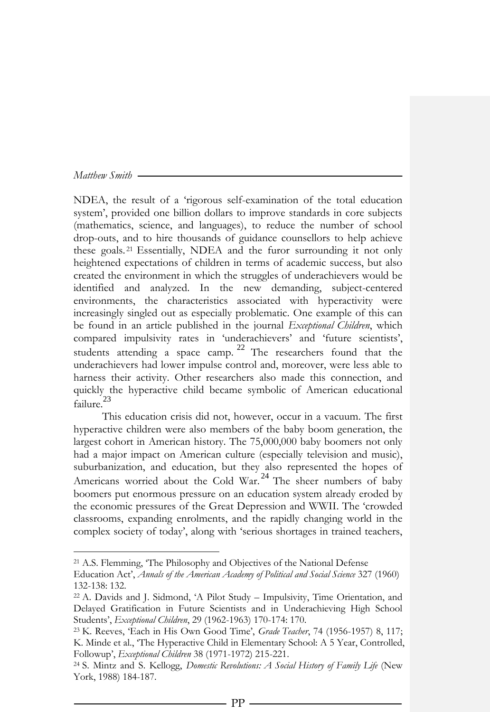$\overline{a}$ 

NDEA, the result of a 'rigorous self-examination of the total education system', provided one billion dollars to improve standards in core subjects (mathematics, science, and languages), to reduce the number of school drop-outs, and to hire thousands of guidance counsellors to help achieve these goals. <sup>21</sup> Essentially, NDEA and the furor surrounding it not only heightened expectations of children in terms of academic success, but also created the environment in which the struggles of underachievers would be identified and analyzed. In the new demanding, subject-centered environments, the characteristics associated with hyperactivity were increasingly singled out as especially problematic. One example of this can be found in an article published in the journal *Exceptional Children*, which compared impulsivity rates in 'underachievers' and 'future scientists', students attending a space camp. <sup>22</sup> The researchers found that the underachievers had lower impulse control and, moreover, were less able to harness their activity. Other researchers also made this connection, and quickly the hyperactive child became symbolic of American educational failure.<sup>23</sup>

This education crisis did not, however, occur in a vacuum. The first hyperactive children were also members of the baby boom generation, the largest cohort in American history. The 75,000,000 baby boomers not only had a major impact on American culture (especially television and music), suburbanization, and education, but they also represented the hopes of Americans worried about the Cold War.<sup>24</sup> The sheer numbers of baby boomers put enormous pressure on an education system already eroded by the economic pressures of the Great Depression and WWII. The 'crowded classrooms, expanding enrolments, and the rapidly changing world in the complex society of today', along with 'serious shortages in trained teachers,

<sup>21</sup> A.S. Flemming, 'The Philosophy and Objectives of the National Defense

Education Act', *Annals of the American Academy of Political and Social Science* 327 (1960) 132-138: 132.

<sup>22</sup> A. Davids and J. Sidmond, 'A Pilot Study – Impulsivity, Time Orientation, and Delayed Gratification in Future Scientists and in Underachieving High School Students', *Exceptional Children*, 29 (1962-1963) 170-174: 170.

<sup>23</sup> K. Reeves, 'Each in His Own Good Time', *Grade Teacher*, 74 (1956-1957) 8, 117; K. Minde et al., 'The Hyperactive Child in Elementary School: A 5 Year, Controlled, Followup', *Exceptional Children* 38 (1971-1972) 215-221.

<sup>24</sup> S. Mintz and S. Kellogg, *Domestic Revolutions: A Social History of Family Life* (New York, 1988) 184-187.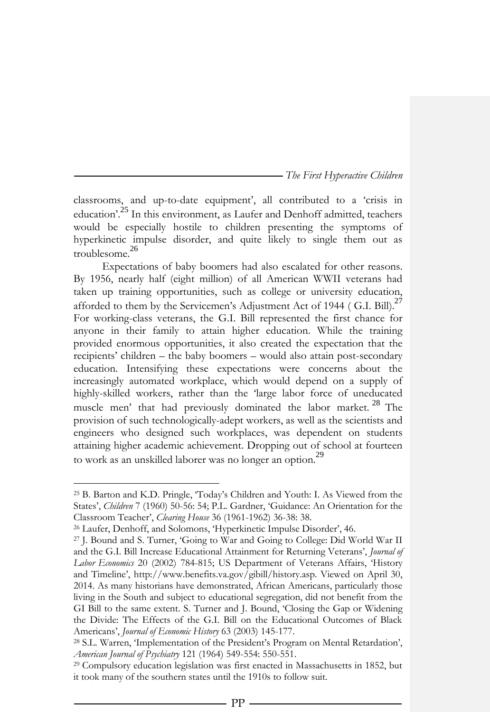classrooms, and up-to-date equipment', all contributed to a 'crisis in education'.<sup>25</sup> In this environment, as Laufer and Denhoff admitted, teachers would be especially hostile to children presenting the symptoms of hyperkinetic impulse disorder, and quite likely to single them out as troublesome.<sup>26</sup>

Expectations of baby boomers had also escalated for other reasons. By 1956, nearly half (eight million) of all American WWII veterans had taken up training opportunities, such as college or university education, afforded to them by the Servicemen's Adjustment Act of 1944 (G.I. Bill). $^{27}$ For working-class veterans, the G.I. Bill represented the first chance for anyone in their family to attain higher education. While the training provided enormous opportunities, it also created the expectation that the recipients' children – the baby boomers – would also attain post-secondary education. Intensifying these expectations were concerns about the increasingly automated workplace, which would depend on a supply of highly-skilled workers, rather than the 'large labor force of uneducated muscle men' that had previously dominated the labor market. <sup>28</sup> The provision of such technologically-adept workers, as well as the scientists and engineers who designed such workplaces, was dependent on students attaining higher academic achievement. Dropping out of school at fourteen to work as an unskilled laborer was no longer an option.<sup>29</sup>

1

<sup>25</sup> B. Barton and K.D. Pringle, 'Today's Children and Youth: I. As Viewed from the States', *Children* 7 (1960) 50-56: 54; P.L. Gardner, 'Guidance: An Orientation for the Classroom Teacher', *Clearing House* 36 (1961-1962) 36-38: 38.

<sup>26</sup> Laufer, Denhoff, and Solomons, 'Hyperkinetic Impulse Disorder', 46.

<sup>27</sup> J. Bound and S. Turner, 'Going to War and Going to College: Did World War II and the G.I. Bill Increase Educational Attainment for Returning Veterans', *Journal of Labor Economics* 20 (2002) 784-815; US Department of Veterans Affairs, 'History and Timeline', [http://www.benefits.va.gov/gibill/history.asp.](http://www.benefits.va.gov/gibill/history.asp) Viewed on April 30, 2014. As many historians have demonstrated, African Americans, particularly those living in the South and subject to educational segregation, did not benefit from the GI Bill to the same extent. S. Turner and J. Bound, 'Closing the Gap or Widening the Divide: The Effects of the G.I. Bill on the Educational Outcomes of Black Americans', *Journal of Economic History* 63 (2003) 145-177.

<sup>28</sup> S.L. Warren, 'Implementation of the President's Program on Mental Retardation', *American Journal of Psychiatry* 121 (1964) 549-554: 550-551.

<sup>29</sup> Compulsory education legislation was first enacted in Massachusetts in 1852, but it took many of the southern states until the 1910s to follow suit.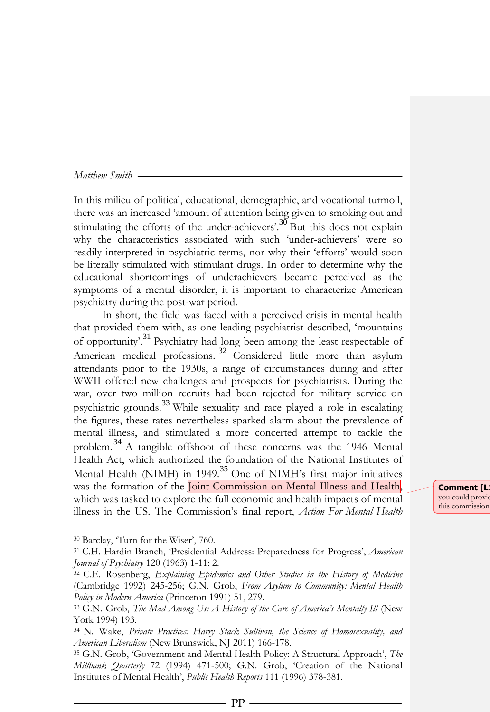In this milieu of political, educational, demographic, and vocational turmoil, there was an increased 'amount of attention being given to smoking out and stimulating the efforts of the under-achievers'.<sup>30</sup> But this does not explain why the characteristics associated with such 'under-achievers' were so readily interpreted in psychiatric terms, nor why their 'efforts' would soon be literally stimulated with stimulant drugs. In order to determine why the educational shortcomings of underachievers became perceived as the symptoms of a mental disorder, it is important to characterize American psychiatry during the post-war period.

In short, the field was faced with a perceived crisis in mental health that provided them with, as one leading psychiatrist described, 'mountains of opportunity'.<sup>31</sup> Psychiatry had long been among the least respectable of American medical professions.<sup>32</sup> Considered little more than asylum attendants prior to the 1930s, a range of circumstances during and after WWII offered new challenges and prospects for psychiatrists. During the war, over two million recruits had been rejected for military service on psychiatric grounds.<sup>33</sup> While sexuality and race played a role in escalating the figures, these rates nevertheless sparked alarm about the prevalence of mental illness, and stimulated a more concerted attempt to tackle the problem. <sup>34</sup> A tangible offshoot of these concerns was the 1946 Mental Health Act, which authorized the foundation of the National Institutes of Mental Health (NIMH) in 1949.<sup>35</sup> One of NIMH's first major initiatives was the formation of the *Joint Commission on Mental Illness and Health*, which was tasked to explore the full economic and health impacts of mental illness in the US. The Commission's final report, *Action For Mental Health*

**Comment [L** you could provid this commission

 $\overline{a}$ 

<sup>30</sup> Barclay, 'Turn for the Wiser', 760.

<sup>31</sup> C.H. Hardin Branch, 'Presidential Address: Preparedness for Progress', *American Journal of Psychiatry* 120 (1963) 1-11: 2.

<sup>32</sup> C.E. Rosenberg, *Explaining Epidemics and Other Studies in the History of Medicine* (Cambridge 1992) 245-256; G.N. Grob, *From Asylum to Community: Mental Health Policy in Modern America* (Princeton 1991) 51, 279.

<sup>33</sup> G.N. Grob, *The Mad Among Us: A History of the Care of America's Mentally Ill* (New York 1994) 193.

<sup>34</sup> N. Wake, *Private Practices: Harry Stack Sullivan, the Science of Homosexuality, and American Liberalism* (New Brunswick, NJ 2011) 166-178.

<sup>35</sup> G.N. Grob, 'Government and Mental Health Policy: A Structural Approach', *The Millbank Quarterly* 72 (1994) 471-500; G.N. Grob, 'Creation of the National Institutes of Mental Health', *Public Health Reports* 111 (1996) 378-381.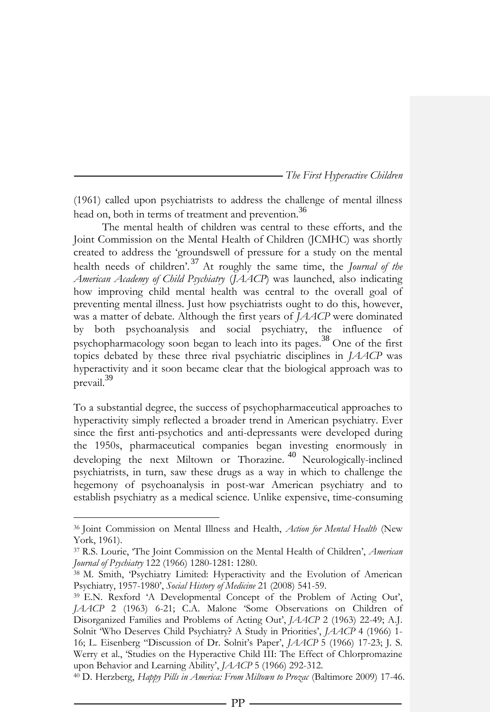(1961) called upon psychiatrists to address the challenge of mental illness head on, both in terms of treatment and prevention.<sup>36</sup>

The mental health of children was central to these efforts, and the Joint Commission on the Mental Health of Children (JCMHC) was shortly created to address the 'groundswell of pressure for a study on the mental health needs of children'. <sup>37</sup> At roughly the same time, the *Journal of the American Academy of Child Psychiatry* (*JAACP*) was launched, also indicating how improving child mental health was central to the overall goal of preventing mental illness. Just how psychiatrists ought to do this, however, was a matter of debate. Although the first years of *JAACP* were dominated by both psychoanalysis and social psychiatry, the influence of psychopharmacology soon began to leach into its pages.<sup>38</sup> One of the first topics debated by these three rival psychiatric disciplines in *JAACP* was hyperactivity and it soon became clear that the biological approach was to prevail.<sup>39</sup>

To a substantial degree, the success of psychopharmaceutical approaches to hyperactivity simply reflected a broader trend in American psychiatry. Ever since the first anti-psychotics and anti-depressants were developed during the 1950s, pharmaceutical companies began investing enormously in developing the next Miltown or Thorazine.<sup>40</sup> Neurologically-inclined psychiatrists, in turn, saw these drugs as a way in which to challenge the hegemony of psychoanalysis in post-war American psychiatry and to establish psychiatry as a medical science. Unlike expensive, time-consuming

 $\overline{a}$ 

<sup>36</sup> Joint Commission on Mental Illness and Health, *Action for Mental Health* (New York, 1961).

<sup>37</sup> R.S. Lourie, 'The Joint Commission on the Mental Health of Children', *American Journal of Psychiatry* 122 (1966) 1280-1281: 1280.

<sup>38</sup> M. Smith, 'Psychiatry Limited: Hyperactivity and the Evolution of American Psychiatry, 1957-1980', *Social History of Medicine* 21 (2008) 541-59.

<sup>39</sup> E.N. Rexford 'A Developmental Concept of the Problem of Acting Out', *JAACP* 2 (1963) 6-21; C.A. Malone 'Some Observations on Children of Disorganized Families and Problems of Acting Out', *JAACP* 2 (1963) 22-49; A.J. Solnit 'Who Deserves Child Psychiatry? A Study in Priorities', *JAACP* 4 (1966) 1- 16; L. Eisenberg "Discussion of Dr. Solnit's Paper', *JAACP* 5 (1966) 17-23; J. S. Werry et al., 'Studies on the Hyperactive Child III: The Effect of Chlorpromazine upon Behavior and Learning Ability', *JAACP* 5 (1966) 292-312.

<sup>40</sup> D. Herzberg, *Happy Pills in America: From Miltown to Prozac* (Baltimore 2009) 17-46.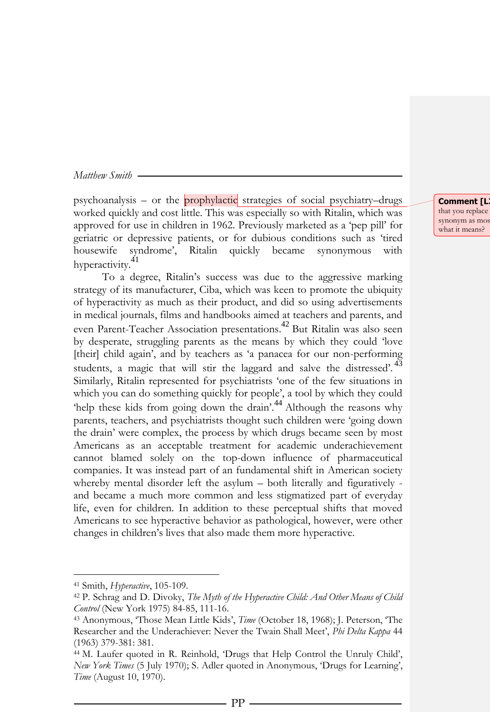psychoanalysis – or the **prophylactic** strategies of social psychiatry–drugs worked quickly and cost little. This was especially so with Ritalin, which was approved for use in children in 1962. Previously marketed as a 'pep pill' for geriatric or depressive patients, or for dubious conditions such as 'tired housewife syndrome', Ritalin quickly became synonymous with hyperactivity.<sup>41</sup>

To a degree, Ritalin's success was due to the aggressive marking strategy of its manufacturer, Ciba, which was keen to promote the ubiquity of hyperactivity as much as their product, and did so using advertisements in medical journals, films and handbooks aimed at teachers and parents, and even Parent-Teacher Association presentations. <sup>42</sup> But Ritalin was also seen by desperate, struggling parents as the means by which they could 'love [their] child again', and by teachers as 'a panacea for our non-performing students, a magic that will stir the laggard and salve the distressed'.<sup>43</sup> Similarly, Ritalin represented for psychiatrists 'one of the few situations in which you can do something quickly for people', a tool by which they could 'help these kids from going down the drain'.<sup>44</sup> Although the reasons why parents, teachers, and psychiatrists thought such children were 'going down the drain' were complex, the process by which drugs became seen by most Americans as an acceptable treatment for academic underachievement cannot blamed solely on the top-down influence of pharmaceutical companies. It was instead part of an fundamental shift in American society whereby mental disorder left the asylum – both literally and figuratively and became a much more common and less stigmatized part of everyday life, even for children. In addition to these perceptual shifts that moved Americans to see hyperactive behavior as pathological, however, were other changes in children's lives that also made them more hyperactive.

 $\overline{a}$ 

**Comment [L** that you replace synonym as mos what it means?

<sup>41</sup> Smith, *Hyperactive*, 105-109.

<sup>42</sup> P. Schrag and D. Divoky, *The Myth of the Hyperactive Child: And Other Means of Child Control* (New York 1975) 84-85, 111-16.

<sup>43</sup> Anonymous, 'Those Mean Little Kids', *Time* (October 18, 1968); J. Peterson, 'The Researcher and the Underachiever: Never the Twain Shall Meet', *Phi Delta Kappa* 44 (1963) 379-381: 381.

<sup>44</sup> M. Laufer quoted in R. Reinhold, 'Drugs that Help Control the Unruly Child', *New York Times* (5 July 1970); S. Adler quoted in Anonymous, 'Drugs for Learning', *Time* (August 10, 1970).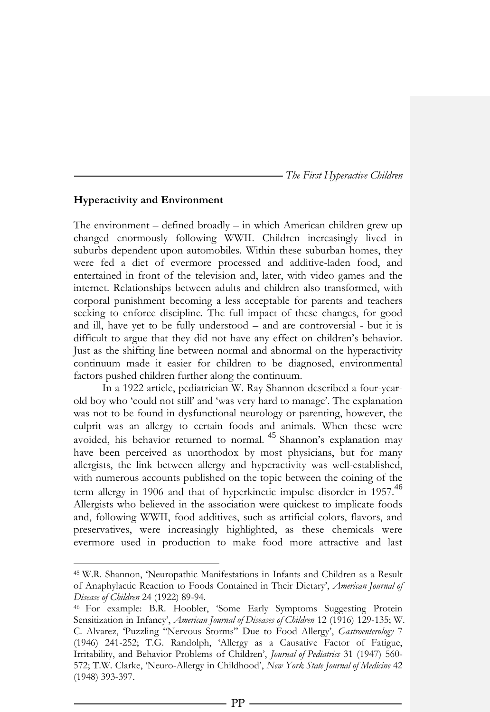## **Hyperactivity and Environment**

 $\overline{a}$ 

The environment – defined broadly – in which American children grew up changed enormously following WWII. Children increasingly lived in suburbs dependent upon automobiles. Within these suburban homes, they were fed a diet of evermore processed and additive-laden food, and entertained in front of the television and, later, with video games and the internet. Relationships between adults and children also transformed, with corporal punishment becoming a less acceptable for parents and teachers seeking to enforce discipline. The full impact of these changes, for good and ill, have yet to be fully understood – and are controversial - but it is difficult to argue that they did not have any effect on children's behavior. Just as the shifting line between normal and abnormal on the hyperactivity continuum made it easier for children to be diagnosed, environmental factors pushed children further along the continuum.

In a 1922 article, pediatrician W. Ray Shannon described a four-yearold boy who 'could not still' and 'was very hard to manage'. The explanation was not to be found in dysfunctional neurology or parenting, however, the culprit was an allergy to certain foods and animals. When these were avoided, his behavior returned to normal. <sup>45</sup> Shannon's explanation may have been perceived as unorthodox by most physicians, but for many allergists, the link between allergy and hyperactivity was well-established, with numerous accounts published on the topic between the coining of the term allergy in 1906 and that of hyperkinetic impulse disorder in 1957.<sup>46</sup> Allergists who believed in the association were quickest to implicate foods and, following WWII, food additives, such as artificial colors, flavors, and preservatives, were increasingly highlighted, as these chemicals were evermore used in production to make food more attractive and last

<sup>45</sup> W.R. Shannon, 'Neuropathic Manifestations in Infants and Children as a Result of Anaphylactic Reaction to Foods Contained in Their Dietary', *American Journal of Disease of Children* 24 (1922) 89-94.

<sup>46</sup> For example: B.R. Hoobler, 'Some Early Symptoms Suggesting Protein Sensitization in Infancy', *American Journal of Diseases of Children* 12 (1916) 129-135; W. C. Alvarez, 'Puzzling "Nervous Storms" Due to Food Allergy', *Gastroenterology* 7 (1946) 241-252; T.G. Randolph, 'Allergy as a Causative Factor of Fatigue, Irritability, and Behavior Problems of Children', *Journal of Pediatrics* 31 (1947) 560- 572; T.W. Clarke, 'Neuro-Allergy in Childhood', *New York State Journal of Medicine* 42 (1948) 393-397.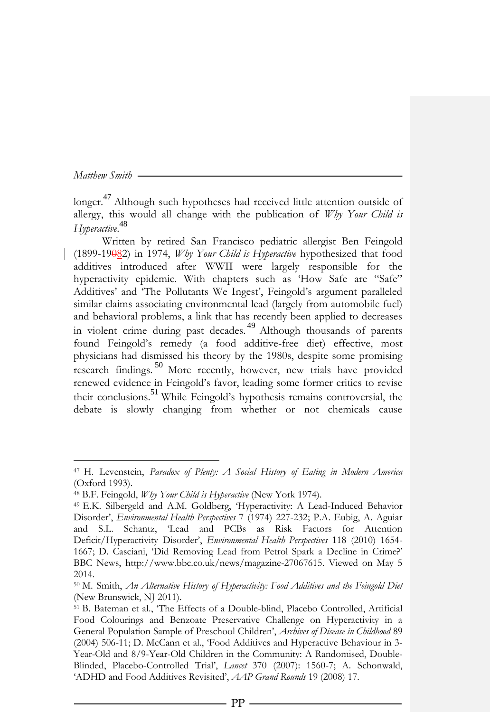1

longer.<sup>47</sup> Although such hypotheses had received little attention outside of allergy, this would all change with the publication of *Why Your Child is Hyperactive*. 48

Written by retired San Francisco pediatric allergist Ben Feingold (1899-19082) in 1974, *Why Your Child is Hyperactive* hypothesized that food additives introduced after WWII were largely responsible for the hyperactivity epidemic. With chapters such as 'How Safe are "Safe" Additives' and 'The Pollutants We Ingest', Feingold's argument paralleled similar claims associating environmental lead (largely from automobile fuel) and behavioral problems, a link that has recently been applied to decreases in violent crime during past decades. <sup>49</sup> Although thousands of parents found Feingold's remedy (a food additive-free diet) effective, most physicians had dismissed his theory by the 1980s, despite some promising research findings. <sup>50</sup> More recently, however, new trials have provided renewed evidence in Feingold's favor, leading some former critics to revise their conclusions.<sup>51</sup> While Feingold's hypothesis remains controversial, the debate is slowly changing from whether or not chemicals cause

<sup>47</sup> H. Levenstein, *Paradox of Plenty: A Social History of Eating in Modern America* (Oxford 1993).

<sup>48</sup> B.F. Feingold, *Why Your Child is Hyperactive* (New York 1974).

<sup>49</sup> E.K. Silbergeld and A.M. Goldberg, 'Hyperactivity: A Lead-Induced Behavior Disorder', *Environmental Health Perspectives* 7 (1974) 227-232; P.A. Eubig, A. Aguiar and S.L. Schantz, 'Lead and PCBs as Risk Factors for Attention Deficit/Hyperactivity Disorder', *Environmental Health Perspectives* 118 (2010) 1654- 1667; D. Casciani, 'Did Removing Lead from Petrol Spark a Decline in Crime?' BBC News, http://www.bbc.co.uk/news/magazine-27067615. Viewed on May 5 2014.

<sup>50</sup> M. Smith, *An Alternative History of Hyperactivity: Food Additives and the Feingold Diet* (New Brunswick, NJ 2011).

<sup>51</sup> B. Bateman et al., 'The Effects of a Double-blind, Placebo Controlled, Artificial Food Colourings and Benzoate Preservative Challenge on Hyperactivity in a General Population Sample of Preschool Children', *Archives of Disease in Childhood* 89 (2004) 506-11; D. McCann et al., 'Food Additives and Hyperactive Behaviour in 3- Year-Old and 8/9-Year-Old Children in the Community: A Randomised, Double-Blinded, Placebo-Controlled Trial', *Lancet* 370 (2007): 1560-7; A. Schonwald, 'ADHD and Food Additives Revisited', *AAP Grand Rounds* 19 (2008) 17.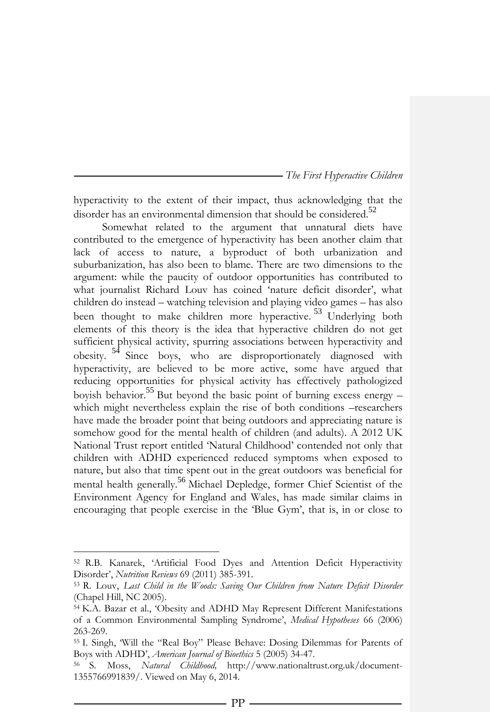hyperactivity to the extent of their impact, thus acknowledging that the disorder has an environmental dimension that should be considered.<sup>52</sup>

Somewhat related to the argument that unnatural diets have contributed to the emergence of hyperactivity has been another claim that lack of access to nature, a byproduct of both urbanization and suburbanization, has also been to blame. There are two dimensions to the argument: while the paucity of outdoor opportunities has contributed to what journalist Richard Louv has coined 'nature deficit disorder', what children do instead – watching television and playing video games – has also been thought to make children more hyperactive. <sup>53</sup> Underlying both elements of this theory is the idea that hyperactive children do not get sufficient physical activity, spurring associations between hyperactivity and obesity. <sup>54</sup> Since boys, who are disproportionately diagnosed with hyperactivity, are believed to be more active, some have argued that reducing opportunities for physical activity has effectively pathologized boyish behavior.<sup>55</sup> But beyond the basic point of burning excess energy – which might nevertheless explain the rise of both conditions –researchers have made the broader point that being outdoors and appreciating nature is somehow good for the mental health of children (and adults). A 2012 UK National Trust report entitled 'Natural Childhood' contended not only that children with ADHD experienced reduced symptoms when exposed to nature, but also that time spent out in the great outdoors was beneficial for mental health generally.<sup>56</sup> Michael Depledge, former Chief Scientist of the Environment Agency for England and Wales, has made similar claims in encouraging that people exercise in the 'Blue Gym', that is, in or close to

 $\overline{a}$ 

<sup>52</sup> R.B. Kanarek, 'Artificial Food Dyes and Attention Deficit Hyperactivity Disorder', *Nutrition Reviews* 69 (2011) 385-391.

<sup>53</sup> R. Louv, *Last Child in the Woods: Saving Our Children from Nature Deficit Disorder* (Chapel Hill, NC 2005).

<sup>54</sup> K.A. Bazar et al., 'Obesity and ADHD May Represent Different Manifestations of a Common Environmental Sampling Syndrome', *Medical Hypotheses* 66 (2006) 263-269.

<sup>55</sup> I. Singh, 'Will the "Real Boy" Please Behave: Dosing Dilemmas for Parents of Boys with ADHD', *American Journal of Bioethics* 5 (2005) 34-47.

<sup>56</sup> S. Moss, *Natural Childhood,* http://www.nationaltrust.org.uk/document-1355766991839/. Viewed on May 6, 2014.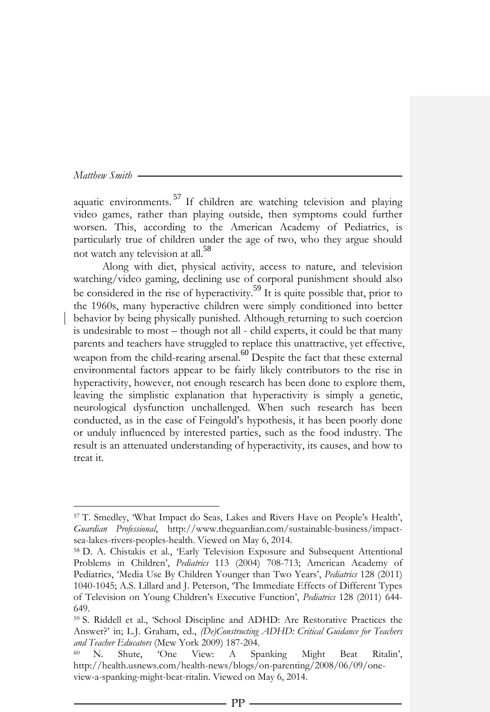$\overline{a}$ 

aquatic environments.<sup>57</sup> If children are watching television and playing video games, rather than playing outside, then symptoms could further worsen. This, according to the American Academy of Pediatrics, is particularly true of children under the age of two, who they argue should not watch any television at all.<sup>58</sup>

Along with diet, physical activity, access to nature, and television watching/video gaming, declining use of corporal punishment should also be considered in the rise of hyperactivity.<sup>59</sup> It is quite possible that, prior to the 1960s, many hyperactive children were simply conditioned into better behavior by being physically punished. Although returning to such coercion is undesirable to most – though not all - child experts, it could be that many parents and teachers have struggled to replace this unattractive, yet effective, weapon from the child-rearing arsenal.  $\overset{60}{\circ}$  Despite the fact that these external environmental factors appear to be fairly likely contributors to the rise in hyperactivity, however, not enough research has been done to explore them, leaving the simplistic explanation that hyperactivity is simply a genetic, neurological dysfunction unchallenged. When such research has been conducted, as in the case of Feingold's hypothesis, it has been poorly done or unduly influenced by interested parties, such as the food industry. The result is an attenuated understanding of hyperactivity, its causes, and how to treat it.

<sup>57</sup> T. Smedley, 'What Impact do Seas, Lakes and Rivers Have on People's Health', *Guardian Professional*, http://www.theguardian.com/sustainable-business/impactsea-lakes-rivers-peoples-health. Viewed on May 6, 2014.

<sup>58</sup> D. A. Chistakis et al., 'Early Television Exposure and Subsequent Attentional Problems in Children', *Pediatrics* 113 (2004) 708-713; American Academy of Pediatrics, 'Media Use By Children Younger than Two Years', *Pediatrics* 128 (2011) 1040-1045; A.S. Lillard and J. Peterson, 'The Immediate Effects of Different Types of Television on Young Children's Executive Function', *Pediatrics* 128 (2011) 644- 649.

<sup>59</sup> S. Riddell et al., 'School Discipline and ADHD: Are Restorative Practices the Answer?' in; L.J. Graham, ed., *(De)Constructing ADHD: Critical Guidance for Teachers and Teacher Educators* (Mew York 2009) 187-204.

<sup>60</sup> N. Shute, 'One View: A Spanking Might Beat Ritalin', http://health.usnews.com/health-news/blogs/on-parenting/2008/06/09/oneview-a-spanking-might-beat-ritalin. Viewed on May 6, 2014.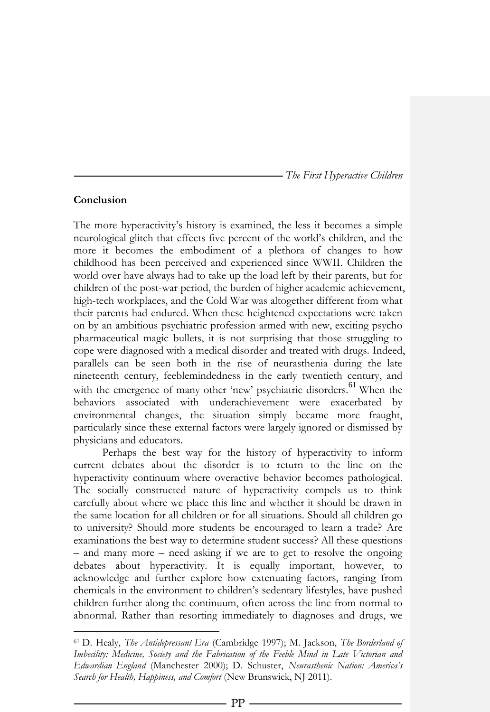# **Conclusion**

 $\overline{a}$ 

The more hyperactivity's history is examined, the less it becomes a simple neurological glitch that effects five percent of the world's children, and the more it becomes the embodiment of a plethora of changes to how childhood has been perceived and experienced since WWII. Children the world over have always had to take up the load left by their parents, but for children of the post-war period, the burden of higher academic achievement, high-tech workplaces, and the Cold War was altogether different from what their parents had endured. When these heightened expectations were taken on by an ambitious psychiatric profession armed with new, exciting psycho pharmaceutical magic bullets, it is not surprising that those struggling to cope were diagnosed with a medical disorder and treated with drugs. Indeed, parallels can be seen both in the rise of neurasthenia during the late nineteenth century, feeblemindedness in the early twentieth century, and with the emergence of many other 'new' psychiatric disorders.<sup>61</sup> When the behaviors associated with underachievement were exacerbated by environmental changes, the situation simply became more fraught, particularly since these external factors were largely ignored or dismissed by physicians and educators.

Perhaps the best way for the history of hyperactivity to inform current debates about the disorder is to return to the line on the hyperactivity continuum where overactive behavior becomes pathological. The socially constructed nature of hyperactivity compels us to think carefully about where we place this line and whether it should be drawn in the same location for all children or for all situations. Should all children go to university? Should more students be encouraged to learn a trade? Are examinations the best way to determine student success? All these questions – and many more – need asking if we are to get to resolve the ongoing debates about hyperactivity. It is equally important, however, to acknowledge and further explore how extenuating factors, ranging from chemicals in the environment to children's sedentary lifestyles, have pushed children further along the continuum, often across the line from normal to abnormal. Rather than resorting immediately to diagnoses and drugs, we

<sup>61</sup> D. Healy, *The Antidepressant Era* (Cambridge 1997); M. Jackson, *The Borderland of Imbecility: Medicine, Society and the Fabrication of the Feeble Mind in Late Victorian and Edwardian England* (Manchester 2000); D. Schuster, *Neurasthenic Nation: America's Search for Health, Happiness, and Comfort* (New Brunswick, NJ 2011).